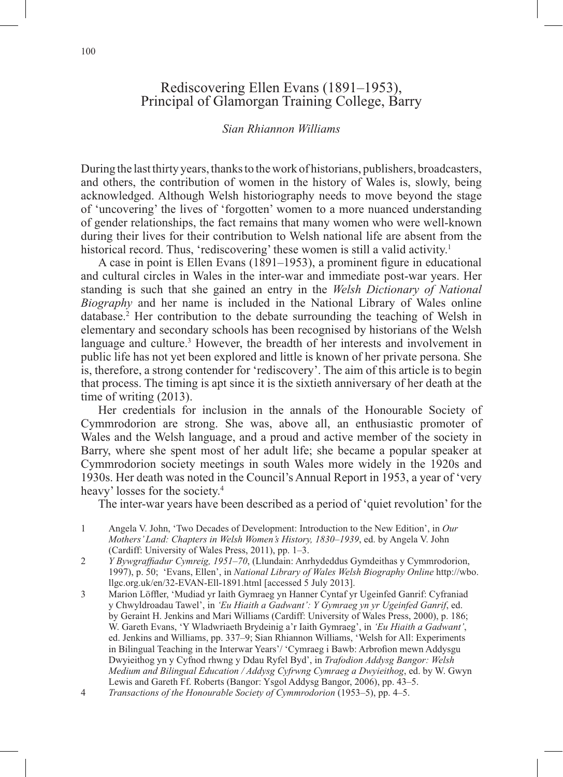## Rediscovering Ellen Evans (1891–1953), Principal of Glamorgan Training College, Barry

## *Sian Rhiannon Williams*

During the last thirty years, thanks to the work of historians, publishers, broadcasters, and others, the contribution of women in the history of Wales is, slowly, being acknowledged. Although Welsh historiography needs to move beyond the stage of 'uncovering' the lives of 'forgotten' women to a more nuanced understanding of gender relationships, the fact remains that many women who were well-known during their lives for their contribution to Welsh national life are absent from the historical record. Thus, 'rediscovering' these women is still a valid activity.<sup>1</sup>

A case in point is Ellen Evans (1891–1953), a prominent figure in educational and cultural circles in Wales in the inter-war and immediate post-war years. Her standing is such that she gained an entry in the *Welsh Dictionary of National Biography* and her name is included in the National Library of Wales online database.2 Her contribution to the debate surrounding the teaching of Welsh in elementary and secondary schools has been recognised by historians of the Welsh language and culture.<sup>3</sup> However, the breadth of her interests and involvement in public life has not yet been explored and little is known of her private persona. She is, therefore, a strong contender for 'rediscovery'. The aim of this article is to begin that process. The timing is apt since it is the sixtieth anniversary of her death at the time of writing (2013).

Her credentials for inclusion in the annals of the Honourable Society of Cymmrodorion are strong. She was, above all, an enthusiastic promoter of Wales and the Welsh language, and a proud and active member of the society in Barry, where she spent most of her adult life; she became a popular speaker at Cymmrodorion society meetings in south Wales more widely in the 1920s and 1930s. Her death was noted in the Council's Annual Report in 1953, a year of 'very heavy' losses for the society.4

The inter-war years have been described as a period of 'quiet revolution' for the

- 1 Angela V. John, 'Two Decades of Development: Introduction to the New Edition', in *Our Mothers' Land: Chapters in Welsh Women's History, 1830–1939*, ed. by Angela V. John (Cardiff: University of Wales Press, 2011), pp. 1–3.
- 2 *Y Bywgraffiadur Cymreig, 1951–70*, (Llundain: Anrhydeddus Gymdeithas y Cymmrodorion, 1997), p. 50; 'Evans, Ellen', in *National Library of Wales Welsh Biography Online* http://wbo. llgc.org.uk/en/32-EVAN-Ell-1891.html [accessed 5 July 2013].
- 3 Marion Löffler, 'Mudiad yr Iaith Gymraeg yn Hanner Cyntaf yr Ugeinfed Ganrif: Cyfraniad y Chwyldroadau Tawel', in *'Eu Hiaith a Gadwant': Y Gymraeg yn yr Ugeinfed Ganrif*, ed. by Geraint H. Jenkins and Mari Williams (Cardiff: University of Wales Press, 2000), p. 186; W. Gareth Evans, 'Y Wladwriaeth Brydeinig a'r Iaith Gymraeg', in *'Eu Hiaith a Gadwant'*, ed. Jenkins and Williams, pp. 337–9; Sian Rhiannon Williams, 'Welsh for All: Experiments in Bilingual Teaching in the Interwar Years'/ 'Cymraeg i Bawb: Arbrofion mewn Addysgu Dwyieithog yn y Cyfnod rhwng y Ddau Ryfel Byd', in *Trafodion Addysg Bangor: Welsh Medium and Bilingual Education / Addysg Cyfrwng Cymraeg a Dwyieithog*, ed. by W. Gwyn Lewis and Gareth Ff. Roberts (Bangor: Ysgol Addysg Bangor, 2006), pp. 43–5.
- 4 *Transactions of the Honourable Society of Cymmrodorion* (1953–5), pp. 4–5.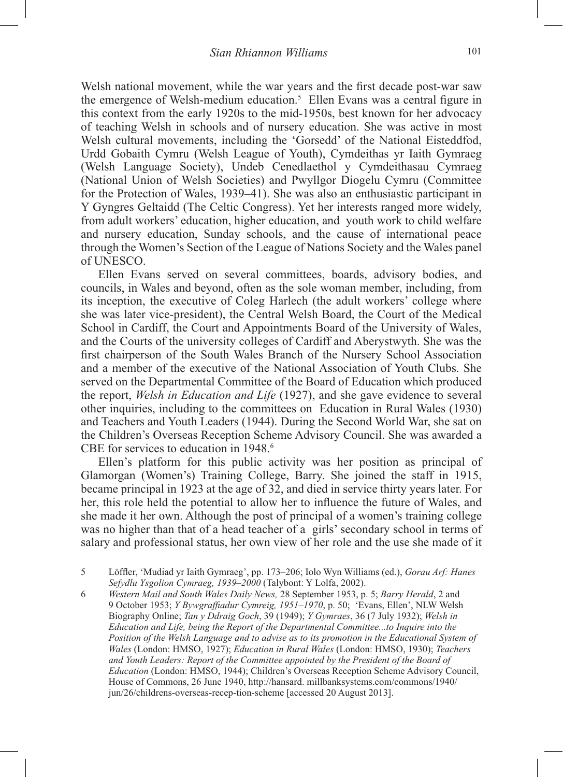Welsh national movement, while the war years and the first decade post-war saw the emergence of Welsh-medium education.<sup>5</sup> Ellen Evans was a central figure in this context from the early 1920s to the mid-1950s, best known for her advocacy of teaching Welsh in schools and of nursery education. She was active in most Welsh cultural movements, including the 'Gorsedd' of the National Eisteddfod, Urdd Gobaith Cymru (Welsh League of Youth), Cymdeithas yr Iaith Gymraeg (Welsh Language Society), Undeb Cenedlaethol y Cymdeithasau Cymraeg (National Union of Welsh Societies) and Pwyllgor Diogelu Cymru (Committee for the Protection of Wales, 1939–41). She was also an enthusiastic participant in Y Gyngres Geltaidd (The Celtic Congress). Yet her interests ranged more widely, from adult workers' education, higher education, and youth work to child welfare and nursery education, Sunday schools, and the cause of international peace through the Women's Section of the League of Nations Society and the Wales panel of UNESCO.

Ellen Evans served on several committees, boards, advisory bodies, and councils, in Wales and beyond, often as the sole woman member, including, from its inception, the executive of Coleg Harlech (the adult workers' college where she was later vice-president), the Central Welsh Board, the Court of the Medical School in Cardiff, the Court and Appointments Board of the University of Wales, and the Courts of the university colleges of Cardiff and Aberystwyth. She was the first chairperson of the South Wales Branch of the Nursery School Association and a member of the executive of the National Association of Youth Clubs. She served on the Departmental Committee of the Board of Education which produced the report, *Welsh in Education and Life* (1927), and she gave evidence to several other inquiries, including to the committees on Education in Rural Wales (1930) and Teachers and Youth Leaders (1944). During the Second World War, she sat on the Children's Overseas Reception Scheme Advisory Council. She was awarded a CBE for services to education in 1948.<sup>6</sup>

Ellen's platform for this public activity was her position as principal of Glamorgan (Women's) Training College, Barry. She joined the staff in 1915, became principal in 1923 at the age of 32, and died in service thirty years later. For her, this role held the potential to allow her to influence the future of Wales, and she made it her own. Although the post of principal of a women's training college was no higher than that of a head teacher of a girls' secondary school in terms of salary and professional status, her own view of her role and the use she made of it

5 Löffler, 'Mudiad yr Iaith Gymraeg', pp. 173–206; Iolo Wyn Williams (ed.), *Gorau Arf: Hanes Sefydlu Ysgolion Cymraeg, 1939–2000* (Talybont: Y Lolfa, 2002).

6 *Western Mail and South Wales Daily News,* 28 September 1953, p. 5; *Barry Herald*, 2 and 9 October 1953; *Y Bywgraffiadur Cymreig, 1951–1970*, p. 50; 'Evans, Ellen', NLW Welsh Biography Online; *Tan y Ddraig Goch*, 39 (1949); *Y Gymraes*, 36 (7 July 1932); *Welsh in Education and Life, being the Report of the Departmental Committee...to Inquire into the Position of the Welsh Language and to advise as to its promotion in the Educational System of Wales* (London: HMSO, 1927); *Education in Rural Wales* (London: HMSO, 1930); *Teachers*  and Youth Leaders: Report of the Committee appointed by the President of the Board of *Education* (London: HMSO, 1944); Children's Overseas Reception Scheme Advisory Council, House of Commons, 26 June 1940, http://hansard. millbanksystems.com/commons/1940/ jun/26/childrens-overseas-recep-tion-scheme [accessed 20 August 2013].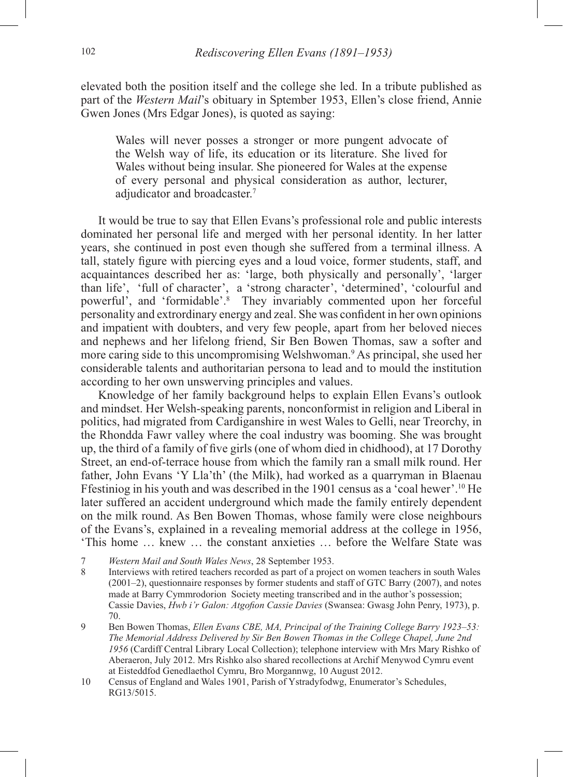elevated both the position itself and the college she led. In a tribute published as part of the *Western Mail*'s obituary in Sptember 1953, Ellen's close friend, Annie Gwen Jones (Mrs Edgar Jones), is quoted as saying:

Wales will never posses a stronger or more pungent advocate of the Welsh way of life, its education or its literature. She lived for Wales without being insular. She pioneered for Wales at the expense of every personal and physical consideration as author, lecturer, adjudicator and broadcaster.<sup>7</sup>

It would be true to say that Ellen Evans's professional role and public interests dominated her personal life and merged with her personal identity. In her latter years, she continued in post even though she suffered from a terminal illness. A tall, stately figure with piercing eyes and a loud voice, former students, staff, and acquaintances described her as: 'large, both physically and personally', 'larger than life', 'full of character', a 'strong character', 'determined', 'colourful and powerful', and 'formidable'.8 They invariably commented upon her forceful personality and extrordinary energy and zeal. She was confident in her own opinions and impatient with doubters, and very few people, apart from her beloved nieces and nephews and her lifelong friend, Sir Ben Bowen Thomas, saw a softer and more caring side to this uncompromising Welshwoman.<sup>9</sup> As principal, she used her considerable talents and authoritarian persona to lead and to mould the institution according to her own unswerving principles and values.

Knowledge of her family background helps to explain Ellen Evans's outlook and mindset. Her Welsh-speaking parents, nonconformist in religion and Liberal in politics, had migrated from Cardiganshire in west Wales to Gelli, near Treorchy, in the Rhondda Fawr valley where the coal industry was booming. She was brought up, the third of a family of five girls (one of whom died in chidhood), at 17 Dorothy Street, an end-of-terrace house from which the family ran a small milk round. Her father, John Evans 'Y Lla'th' (the Milk), had worked as a quarryman in Blaenau Ffestiniog in his youth and was described in the 1901 census as a 'coal hewer'.10 He later suffered an accident underground which made the family entirely dependent on the milk round. As Ben Bowen Thomas, whose family were close neighbours of the Evans's, explained in a revealing memorial address at the college in 1956, 'This home … knew … the constant anxieties … before the Welfare State was

- 7 *Western Mail and South Wales News*, 28 September 1953.
- 8 Interviews with retired teachers recorded as part of a project on women teachers in south Wales (2001–2), questionnaire responses by former students and staff of GTC Barry (2007), and notes made at Barry Cymmrodorion Society meeting transcribed and in the author's possession; Cassie Davies, *Hwb i'r Galon: Atgofion Cassie Davies* (Swansea: Gwasg John Penry, 1973), p. 70.
- 9 Ben Bowen Thomas, *Ellen Evans CBE, MA, Principal of the Training College Barry 1923–53: The Memorial Address Delivered by Sir Ben Bowen Thomas in the College Chapel, June 2nd 1956* (Cardiff Central Library Local Collection); telephone interview with Mrs Mary Rishko of Aberaeron, July 2012. Mrs Rishko also shared recollections at Archif Menywod Cymru event at Eisteddfod Genedlaethol Cymru, Bro Morgannwg, 10 August 2012.
- 10 Census of England and Wales 1901, Parish of Ystradyfodwg, Enumerator's Schedules, RG13/5015.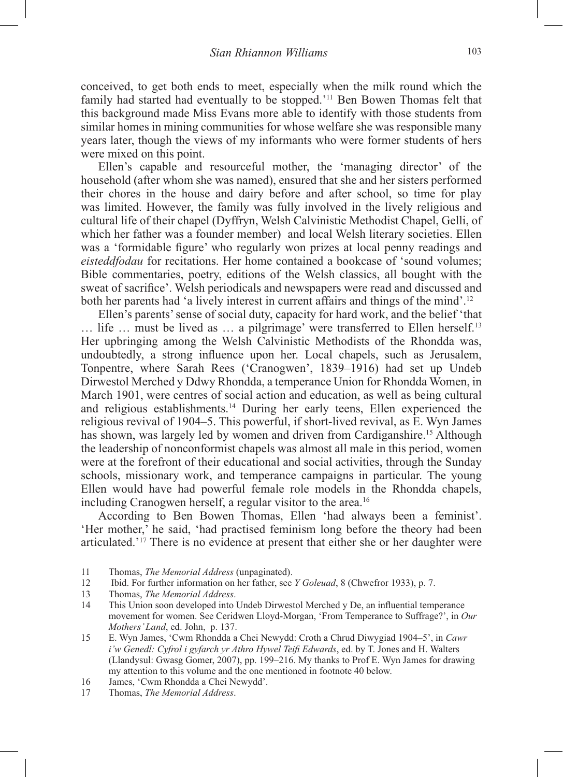conceived, to get both ends to meet, especially when the milk round which the family had started had eventually to be stopped.'11 Ben Bowen Thomas felt that this background made Miss Evans more able to identify with those students from similar homes in mining communities for whose welfare she was responsible many years later, though the views of my informants who were former students of hers were mixed on this point.

Ellen's capable and resourceful mother, the 'managing director' of the household (after whom she was named), ensured that she and her sisters performed their chores in the house and dairy before and after school, so time for play was limited. However, the family was fully involved in the lively religious and cultural life of their chapel (Dyffryn, Welsh Calvinistic Methodist Chapel, Gelli, of which her father was a founder member) and local Welsh literary societies. Ellen was a 'formidable figure' who regularly won prizes at local penny readings and *eisteddfodau* for recitations. Her home contained a bookcase of 'sound volumes; Bible commentaries, poetry, editions of the Welsh classics, all bought with the sweat of sacrifice'. Welsh periodicals and newspapers were read and discussed and both her parents had 'a lively interest in current affairs and things of the mind'.<sup>12</sup>

Ellen's parents' sense of social duty, capacity for hard work, and the belief 'that … life … must be lived as … a pilgrimage' were transferred to Ellen herself.13 Her upbringing among the Welsh Calvinistic Methodists of the Rhondda was, undoubtedly, a strong influence upon her. Local chapels, such as Jerusalem, Tonpentre, where Sarah Rees ('Cranogwen', 1839–1916) had set up Undeb Dirwestol Merched y Ddwy Rhondda, a temperance Union for Rhondda Women, in March 1901, were centres of social action and education, as well as being cultural and religious establishments.14 During her early teens, Ellen experienced the religious revival of 1904–5. This powerful, if short-lived revival, as E. Wyn James has shown, was largely led by women and driven from Cardiganshire.<sup>15</sup> Although the leadership of nonconformist chapels was almost all male in this period, women were at the forefront of their educational and social activities, through the Sunday schools, missionary work, and temperance campaigns in particular. The young Ellen would have had powerful female role models in the Rhondda chapels, including Cranogwen herself, a regular visitor to the area.<sup>16</sup>

According to Ben Bowen Thomas, Ellen 'had always been a feminist'. 'Her mother,' he said, 'had practised feminism long before the theory had been articulated.'17 There is no evidence at present that either she or her daughter were

- 11 Thomas, *The Memorial Address* (unpaginated).
- 12 Ibid. For further information on her father, see *Y Goleuad*, 8 (Chwefror 1933), p. 7.
- 13 Thomas, *The Memorial Address*.
- 14 This Union soon developed into Undeb Dirwestol Merched y De, an influential temperance movement for women. See Ceridwen Lloyd-Morgan, 'From Temperance to Suffrage?', in *Our Mothers' Land*, ed. John, p. 137.
- 15 E. Wyn James, 'Cwm Rhondda a Chei Newydd: Croth a Chrud Diwygiad 1904–5', in *Cawr i'w Genedl: Cyfrol i gyfarch yr Athro Hywel Teifi Edwards*, ed. by T. Jones and H. Walters (Llandysul: Gwasg Gomer, 2007), pp. 199–216. My thanks to Prof E. Wyn James for drawing my attention to this volume and the one mentioned in footnote 40 below.
- 16 James, 'Cwm Rhondda a Chei Newydd'.
- 17 Thomas, *The Memorial Address*.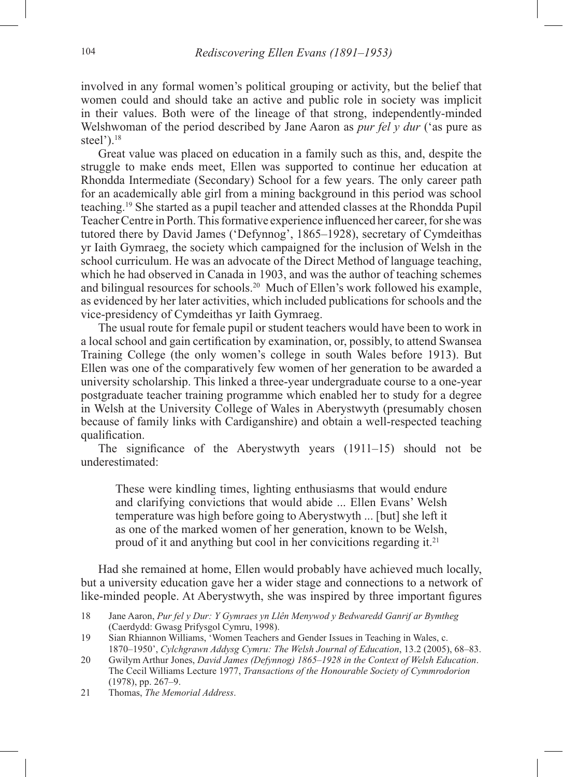involved in any formal women's political grouping or activity, but the belief that women could and should take an active and public role in society was implicit in their values. Both were of the lineage of that strong, independently-minded Welshwoman of the period described by Jane Aaron as *pur fel y dur* ('as pure as steel'). $18$ 

Great value was placed on education in a family such as this, and, despite the struggle to make ends meet, Ellen was supported to continue her education at Rhondda Intermediate (Secondary) School for a few years. The only career path for an academically able girl from a mining background in this period was school teaching.19 She started as a pupil teacher and attended classes at the Rhondda Pupil Teacher Centre in Porth. This formative experience influenced her career, for she was tutored there by David James ('Defynnog', 1865–1928), secretary of Cymdeithas yr Iaith Gymraeg, the society which campaigned for the inclusion of Welsh in the school curriculum. He was an advocate of the Direct Method of language teaching, which he had observed in Canada in 1903, and was the author of teaching schemes and bilingual resources for schools.20 Much of Ellen's work followed his example, as evidenced by her later activities, which included publications for schools and the vice-presidency of Cymdeithas yr Iaith Gymraeg.

The usual route for female pupil or student teachers would have been to work in a local school and gain certification by examination, or, possibly, to attend Swansea Training College (the only women's college in south Wales before 1913). But Ellen was one of the comparatively few women of her generation to be awarded a university scholarship. This linked a three-year undergraduate course to a one-year postgraduate teacher training programme which enabled her to study for a degree in Welsh at the University College of Wales in Aberystwyth (presumably chosen because of family links with Cardiganshire) and obtain a well-respected teaching qualification.

The significance of the Aberystwyth years (1911–15) should not be underestimated:

These were kindling times, lighting enthusiasms that would endure and clarifying convictions that would abide ... Ellen Evans' Welsh temperature was high before going to Aberystwyth ... [but] she left it as one of the marked women of her generation, known to be Welsh, proud of it and anything but cool in her convicitions regarding it.21

Had she remained at home, Ellen would probably have achieved much locally, but a university education gave her a wider stage and connections to a network of like-minded people. At Aberystwyth, she was inspired by three important figures

21 Thomas, *The Memorial Address*.

<sup>18</sup> Jane Aaron, *Pur fel y Dur: Y Gymraes yn Llên Menywod y Bedwaredd Ganrif ar Bymtheg*  (Caerdydd: Gwasg Prifysgol Cymru, 1998).

<sup>19</sup> Sian Rhiannon Williams, 'Women Teachers and Gender Issues in Teaching in Wales, c. 1870–1950', *Cylchgrawn Addysg Cymru: The Welsh Journal of Education*, 13.2 (2005), 68–83.

<sup>20</sup> Gwilym Arthur Jones, *David James (Defynnog) 1865–1928 in the Context of Welsh Education*. The Cecil Williams Lecture 1977, *Transactions of the Honourable Society of Cymmrodorion* (1978), pp. 267–9.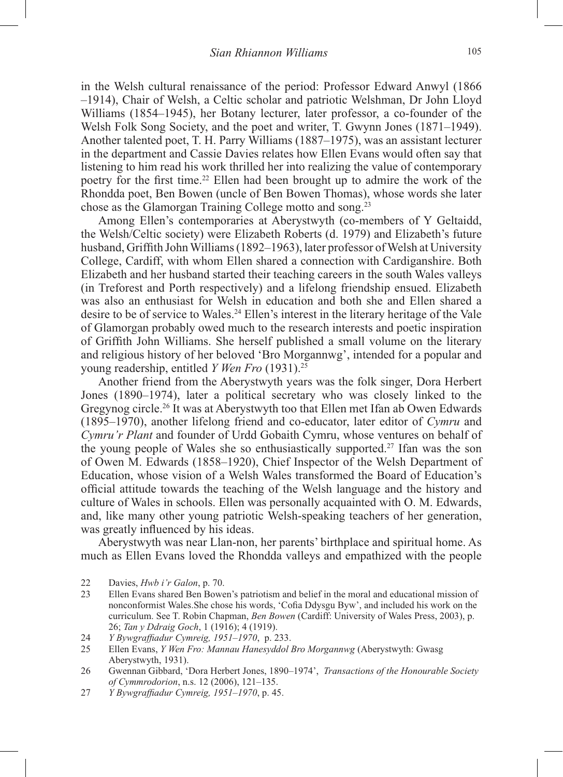in the Welsh cultural renaissance of the period: Professor Edward Anwyl (1866 –1914), Chair of Welsh, a Celtic scholar and patriotic Welshman, Dr John Lloyd Williams (1854–1945), her Botany lecturer, later professor, a co-founder of the Welsh Folk Song Society, and the poet and writer, T. Gwynn Jones (1871–1949). Another talented poet, T. H. Parry Williams (1887–1975), was an assistant lecturer in the department and Cassie Davies relates how Ellen Evans would often say that listening to him read his work thrilled her into realizing the value of contemporary poetry for the first time.22 Ellen had been brought up to admire the work of the Rhondda poet, Ben Bowen (uncle of Ben Bowen Thomas), whose words she later chose as the Glamorgan Training College motto and song.23

Among Ellen's contemporaries at Aberystwyth (co-members of Y Geltaidd, the Welsh/Celtic society) were Elizabeth Roberts (d. 1979) and Elizabeth's future husband, Griffith John Williams (1892–1963), later professor of Welsh at University College, Cardiff, with whom Ellen shared a connection with Cardiganshire. Both Elizabeth and her husband started their teaching careers in the south Wales valleys (in Treforest and Porth respectively) and a lifelong friendship ensued. Elizabeth was also an enthusiast for Welsh in education and both she and Ellen shared a desire to be of service to Wales.<sup>24</sup> Ellen's interest in the literary heritage of the Vale of Glamorgan probably owed much to the research interests and poetic inspiration of Griffith John Williams. She herself published a small volume on the literary and religious history of her beloved 'Bro Morgannwg', intended for a popular and young readership, entitled *Y Wen Fro* (1931).25

Another friend from the Aberystwyth years was the folk singer, Dora Herbert Jones (1890–1974), later a political secretary who was closely linked to the Gregynog circle.26 It was at Aberystwyth too that Ellen met Ifan ab Owen Edwards (1895–1970), another lifelong friend and co-educator, later editor of *Cymru* and *Cymru'r Plant* and founder of Urdd Gobaith Cymru, whose ventures on behalf of the young people of Wales she so enthusiastically supported.<sup>27</sup> Ifan was the son of Owen M. Edwards (1858–1920), Chief Inspector of the Welsh Department of Education, whose vision of a Welsh Wales transformed the Board of Education's official attitude towards the teaching of the Welsh language and the history and culture of Wales in schools. Ellen was personally acquainted with O. M. Edwards, and, like many other young patriotic Welsh-speaking teachers of her generation, was greatly influenced by his ideas.

Aberystwyth was near Llan-non, her parents' birthplace and spiritual home. As much as Ellen Evans loved the Rhondda valleys and empathized with the people

<sup>22</sup> Davies, *Hwb i'r Galon*, p. 70.

<sup>23</sup> Ellen Evans shared Ben Bowen's patriotism and belief in the moral and educational mission of nonconformist Wales.She chose his words, 'Cofia Ddysgu Byw', and included his work on the curriculum. See T. Robin Chapman, *Ben Bowen* (Cardiff: University of Wales Press, 2003), p. 26; *Tan y Ddraig Goch*, 1 (1916); 4 (1919).

<sup>24</sup> *Y Bywgraffiadur Cymreig, 1951–1970*, p. 233.

<sup>25</sup> Ellen Evans, *Y Wen Fro: Mannau Hanesyddol Bro Morgannwg* (Aberystwyth: Gwasg Aberystwyth, 1931).

<sup>26</sup> Gwennan Gibbard, 'Dora Herbert Jones, 1890–1974', *Transactions of the Honourable Society of Cymmrodorion*, n.s. 12 (2006), 121–135.

<sup>27</sup> *Y Bywgraffiadur Cymreig, 1951–1970*, p. 45.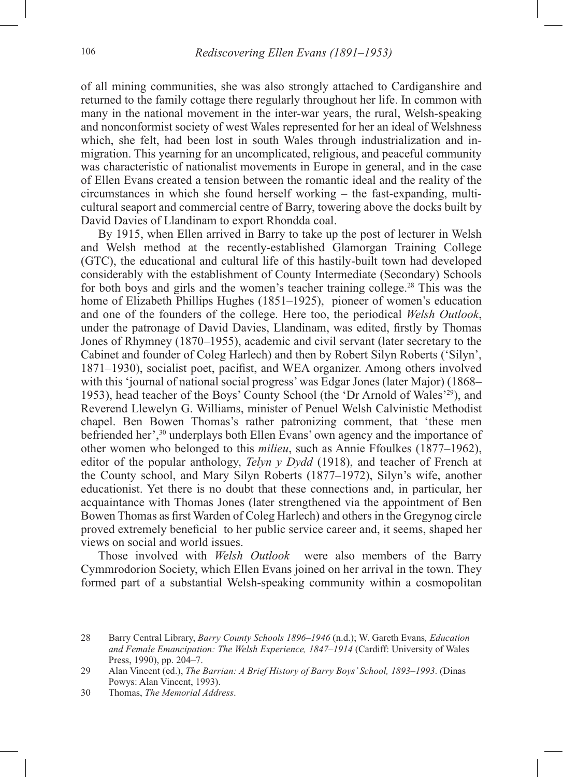of all mining communities, she was also strongly attached to Cardiganshire and returned to the family cottage there regularly throughout her life. In common with many in the national movement in the inter-war years, the rural, Welsh-speaking and nonconformist society of west Wales represented for her an ideal of Welshness which, she felt, had been lost in south Wales through industrialization and inmigration. This yearning for an uncomplicated, religious, and peaceful community was characteristic of nationalist movements in Europe in general, and in the case of Ellen Evans created a tension between the romantic ideal and the reality of the circumstances in which she found herself working – the fast-expanding, multicultural seaport and commercial centre of Barry, towering above the docks built by David Davies of Llandinam to export Rhondda coal.

By 1915, when Ellen arrived in Barry to take up the post of lecturer in Welsh and Welsh method at the recently-established Glamorgan Training College (GTC), the educational and cultural life of this hastily-built town had developed considerably with the establishment of County Intermediate (Secondary) Schools for both boys and girls and the women's teacher training college.<sup>28</sup> This was the home of Elizabeth Phillips Hughes (1851–1925), pioneer of women's education and one of the founders of the college. Here too, the periodical *Welsh Outlook*, under the patronage of David Davies, Llandinam, was edited, firstly by Thomas Jones of Rhymney (1870–1955), academic and civil servant (later secretary to the Cabinet and founder of Coleg Harlech) and then by Robert Silyn Roberts ('Silyn', 1871–1930), socialist poet, pacifist, and WEA organizer. Among others involved with this 'journal of national social progress' was Edgar Jones (later Major) (1868– 1953), head teacher of the Boys' County School (the 'Dr Arnold of Wales'29), and Reverend Llewelyn G. Williams, minister of Penuel Welsh Calvinistic Methodist chapel. Ben Bowen Thomas's rather patronizing comment, that 'these men befriended her',30 underplays both Ellen Evans' own agency and the importance of other women who belonged to this *milieu*, such as Annie Ffoulkes (1877–1962), editor of the popular anthology, *Telyn y Dydd* (1918), and teacher of French at the County school, and Mary Silyn Roberts (1877–1972), Silyn's wife, another educationist. Yet there is no doubt that these connections and, in particular, her acquaintance with Thomas Jones (later strengthened via the appointment of Ben Bowen Thomas as first Warden of Coleg Harlech) and others in the Gregynog circle proved extremely beneficial to her public service career and, it seems, shaped her views on social and world issues.

Those involved with *Welsh Outlook* were also members of the Barry Cymmrodorion Society, which Ellen Evans joined on her arrival in the town. They formed part of a substantial Welsh-speaking community within a cosmopolitan

<sup>28</sup> Barry Central Library, *Barry County Schools 1896–1946* (n.d.); W. Gareth Evans*, Education and Female Emancipation: The Welsh Experience, 1847–1914* (Cardiff: University of Wales Press, 1990), pp. 204–7.

<sup>29</sup> Alan Vincent (ed.), *The Barrian: A Brief History of Barry Boys' School, 1893–1993*. (Dinas Powys: Alan Vincent, 1993).

<sup>30</sup> Thomas, *The Memorial Address*.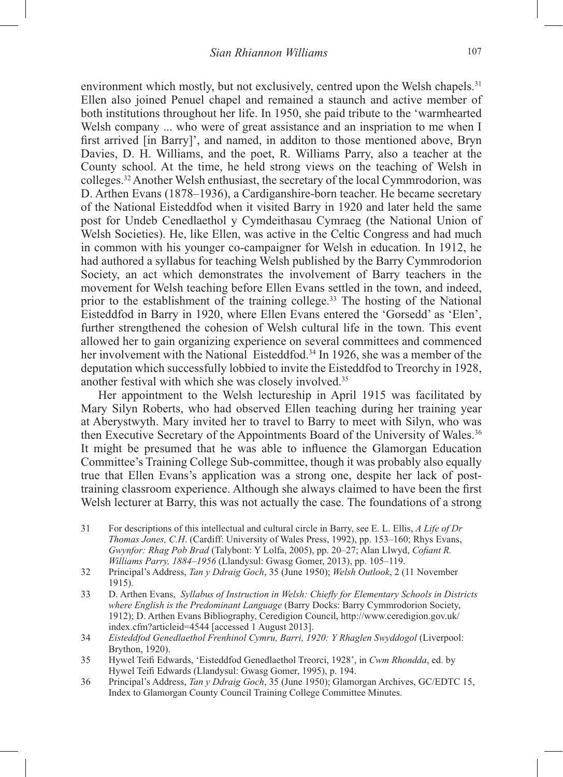environment which mostly, but not exclusively, centred upon the Welsh chapels.<sup>31</sup> Ellen also joined Penuel chapel and remained a staunch and active member of both institutions throughout her life. In 1950, she paid tribute to the 'warmhearted Welsh company ... who were of great assistance and an inspriation to me when I first arrived [in Barry]', and named, in additon to those mentioned above, Bryn Davies, D. H. Williams, and the poet, R. Williams Parry, also a teacher at the County school. At the time, he held strong views on the teaching of Welsh in colleges.32 Another Welsh enthusiast, the secretary of the local Cymmrodorion, was D. Arthen Evans (1878–1936), a Cardiganshire-born teacher. He became secretary of the National Eisteddfod when it visited Barry in 1920 and later held the same post for Undeb Cenedlaethol y Cymdeithasau Cymraeg (the National Union of Welsh Societies). He, like Ellen, was active in the Celtic Congress and had much in common with his younger co-campaigner for Welsh in education. In 1912, he had authored a syllabus for teaching Welsh published by the Barry Cymmrodorion Society, an act which demonstrates the involvement of Barry teachers in the movement for Welsh teaching before Ellen Evans settled in the town, and indeed, prior to the establishment of the training college.<sup>33</sup> The hosting of the National Eisteddfod in Barry in 1920, where Ellen Evans entered the 'Gorsedd' as 'Elen', further strengthened the cohesion of Welsh cultural life in the town. This event allowed her to gain organizing experience on several committees and commenced her involvement with the National Eisteddfod.<sup>34</sup> In 1926, she was a member of the deputation which successfully lobbied to invite the Eisteddfod to Treorchy in 1928, another festival with which she was closely involved.35

Her appointment to the Welsh lectureship in April 1915 was facilitated by Mary Silyn Roberts, who had observed Ellen teaching during her training year at Aberystwyth. Mary invited her to travel to Barry to meet with Silyn, who was then Executive Secretary of the Appointments Board of the University of Wales.<sup>36</sup> It might be presumed that he was able to influence the Glamorgan Education Committee's Training College Sub-committee, though it was probably also equally true that Ellen Evans's application was a strong one, despite her lack of posttraining classroom experience. Although she always claimed to have been the first Welsh lecturer at Barry, this was not actually the case. The foundations of a strong

- 31 For descriptions of this intellectual and cultural circle in Barry, see E. L. Ellis, *A Life of Dr Thomas Jones, C.H*. (Cardiff: University of Wales Press, 1992), pp. 153–160; Rhys Evans, *Gwynfor: Rhag Pob Brad* (Talybont: Y Lolfa, 2005), pp. 20–27; Alan Llwyd, *Cofiant R. Williams Parry, 1884–1956* (Llandysul: Gwasg Gomer, 2013), pp. 105–119.
- 32 Principal's Address, *Tan y Ddraig Goch*, 35 (June 1950); *Welsh Outlook*, 2 (11 November 1915).
- 33 D. Arthen Evans, *Syllabus of Instruction in Welsh: Chiefly for Elementary Schools in Districts where English is the Predominant Language* (Barry Docks: Barry Cymmrodorion Society, 1912); D. Arthen Evans Bibliography, Ceredigion Council, http://www.ceredigion.gov.uk/ index.cfm?articleid=4544 [accessed 1 August 2013].
- 34 *Eisteddfod Genedlaethol Frenhinol Cymru, Barri, 1920: Y Rhaglen Swyddogol* (Liverpool: Brython, 1920).
- 35 Hywel Teifi Edwards, 'Eisteddfod Genedlaethol Treorci, 1928', in *Cwm Rhondda*, ed. by Hywel Teifi Edwards (Llandysul: Gwasg Gomer, 1995), p. 194.
- 36 Principal's Address, *Tan y Ddraig Goch*, 35 (June 1950); Glamorgan Archives, GC/EDTC 15, Index to Glamorgan County Council Training College Committee Minutes.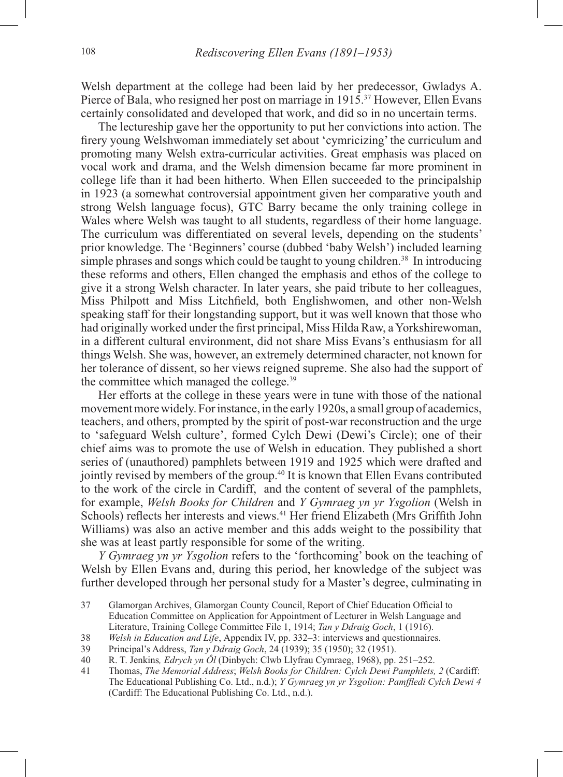Welsh department at the college had been laid by her predecessor, Gwladys A. Pierce of Bala, who resigned her post on marriage in 1915.37 However, Ellen Evans certainly consolidated and developed that work, and did so in no uncertain terms.

The lectureship gave her the opportunity to put her convictions into action. The firery young Welshwoman immediately set about 'cymricizing' the curriculum and promoting many Welsh extra-curricular activities. Great emphasis was placed on vocal work and drama, and the Welsh dimension became far more prominent in college life than it had been hitherto. When Ellen succeeded to the principalship in 1923 (a somewhat controversial appointment given her comparative youth and strong Welsh language focus), GTC Barry became the only training college in Wales where Welsh was taught to all students, regardless of their home language. The curriculum was differentiated on several levels, depending on the students' prior knowledge. The 'Beginners' course (dubbed 'baby Welsh') included learning simple phrases and songs which could be taught to young children.<sup>38</sup> In introducing these reforms and others, Ellen changed the emphasis and ethos of the college to give it a strong Welsh character. In later years, she paid tribute to her colleagues, Miss Philpott and Miss Litchfield, both Englishwomen, and other non-Welsh speaking staff for their longstanding support, but it was well known that those who had originally worked under the first principal, Miss Hilda Raw, a Yorkshirewoman, in a different cultural environment, did not share Miss Evans's enthusiasm for all things Welsh. She was, however, an extremely determined character, not known for her tolerance of dissent, so her views reigned supreme. She also had the support of the committee which managed the college.39

Her efforts at the college in these years were in tune with those of the national movement more widely. For instance, in the early 1920s, a small group of academics, teachers, and others, prompted by the spirit of post-war reconstruction and the urge to 'safeguard Welsh culture', formed Cylch Dewi (Dewi's Circle); one of their chief aims was to promote the use of Welsh in education. They published a short series of (unauthored) pamphlets between 1919 and 1925 which were drafted and jointly revised by members of the group.40 It is known that Ellen Evans contributed to the work of the circle in Cardiff, and the content of several of the pamphlets, for example, *Welsh Books for Children* and *Y Gymraeg yn yr Ysgolion* (Welsh in Schools) reflects her interests and views.41 Her friend Elizabeth (Mrs Griffith John Williams) was also an active member and this adds weight to the possibility that she was at least partly responsible for some of the writing.

*Y Gymraeg yn yr Ysgolion* refers to the 'forthcoming' book on the teaching of Welsh by Ellen Evans and, during this period, her knowledge of the subject was further developed through her personal study for a Master's degree, culminating in

<sup>37</sup> Glamorgan Archives, Glamorgan County Council, Report of Chief Education Official to Education Committee on Application for Appointment of Lecturer in Welsh Language and Literature, Training College Committee File 1, 1914; *Tan y Ddraig Goch*, 1 (1916).

<sup>38</sup> *Welsh in Education and Life*, Appendix IV, pp. 332–3: interviews and questionnaires.

<sup>39</sup> Principal's Address, *Tan y Ddraig Goch*, 24 (1939); 35 (1950); 32 (1951).

<sup>40</sup> R. T. Jenkins*, Edrych yn Ôl* (Dinbych: Clwb Llyfrau Cymraeg, 1968), pp. 251–252.

<sup>41</sup> Thomas, *The Memorial Address*; *Welsh Books for Children: Cylch Dewi Pamphlets, 2* (Cardiff: The Educational Publishing Co. Ltd., n.d.); *Y Gymraeg yn yr Ysgolion: Pamffledi Cylch Dewi 4*  (Cardiff: The Educational Publishing Co. Ltd., n.d.).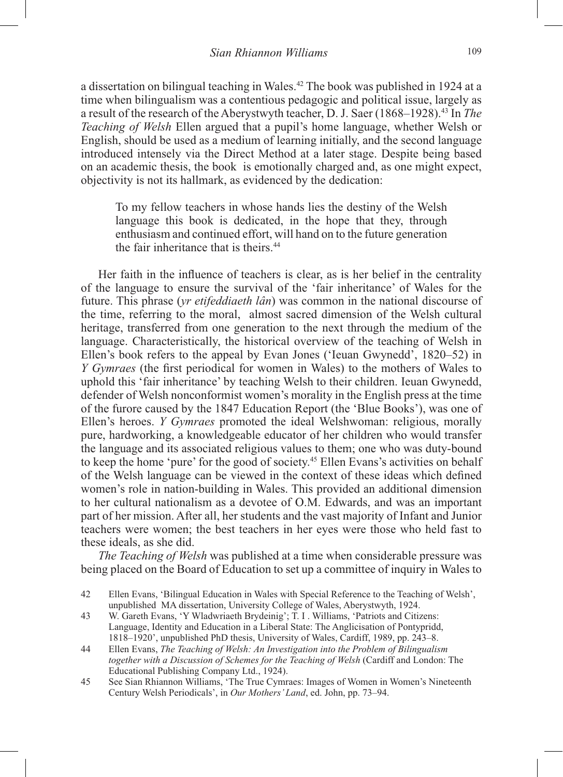a dissertation on bilingual teaching in Wales.42 The book was published in 1924 at a time when bilingualism was a contentious pedagogic and political issue, largely as a result of the research of the Aberystwyth teacher, D. J. Saer (1868–1928).43 In *The Teaching of Welsh* Ellen argued that a pupil's home language, whether Welsh or English, should be used as a medium of learning initially, and the second language introduced intensely via the Direct Method at a later stage. Despite being based on an academic thesis, the book is emotionally charged and, as one might expect, objectivity is not its hallmark, as evidenced by the dedication:

To my fellow teachers in whose hands lies the destiny of the Welsh language this book is dedicated, in the hope that they, through enthusiasm and continued effort, will hand on to the future generation the fair inheritance that is theirs.<sup>44</sup>

Her faith in the influence of teachers is clear, as is her belief in the centrality of the language to ensure the survival of the 'fair inheritance' of Wales for the future. This phrase (*yr etifeddiaeth lân*) was common in the national discourse of the time, referring to the moral, almost sacred dimension of the Welsh cultural heritage, transferred from one generation to the next through the medium of the language. Characteristically, the historical overview of the teaching of Welsh in Ellen's book refers to the appeal by Evan Jones ('Ieuan Gwynedd', 1820–52) in *Y Gymraes* (the first periodical for women in Wales) to the mothers of Wales to uphold this 'fair inheritance' by teaching Welsh to their children. Ieuan Gwynedd, defender of Welsh nonconformist women's morality in the English press at the time of the furore caused by the 1847 Education Report (the 'Blue Books'), was one of Ellen's heroes. *Y Gymraes* promoted the ideal Welshwoman: religious, morally pure, hardworking, a knowledgeable educator of her children who would transfer the language and its associated religious values to them; one who was duty-bound to keep the home 'pure' for the good of society.45 Ellen Evans's activities on behalf of the Welsh language can be viewed in the context of these ideas which defined women's role in nation-building in Wales. This provided an additional dimension to her cultural nationalism as a devotee of O.M. Edwards, and was an important part of her mission. After all, her students and the vast majority of Infant and Junior teachers were women; the best teachers in her eyes were those who held fast to these ideals, as she did.

*The Teaching of Welsh* was published at a time when considerable pressure was being placed on the Board of Education to set up a committee of inquiry in Wales to

- 44 Ellen Evans, *The Teaching of Welsh: An Investigation into the Problem of Bilingualism together with a Discussion of Schemes for the Teaching of Welsh* (Cardiff and London: The Educational Publishing Company Ltd., 1924).
- 45 See Sian Rhiannon Williams, 'The True Cymraes: Images of Women in Women's Nineteenth Century Welsh Periodicals', in *Our Mothers' Land*, ed. John, pp. 73–94.

<sup>42</sup> Ellen Evans, 'Bilingual Education in Wales with Special Reference to the Teaching of Welsh', unpublished MA dissertation, University College of Wales, Aberystwyth, 1924.

<sup>43</sup> W. Gareth Evans, 'Y Wladwriaeth Brydeinig'; T. I . Williams, 'Patriots and Citizens: Language, Identity and Education in a Liberal State: The Anglicisation of Pontypridd, 1818–1920', unpublished PhD thesis, University of Wales, Cardiff, 1989, pp. 243–8.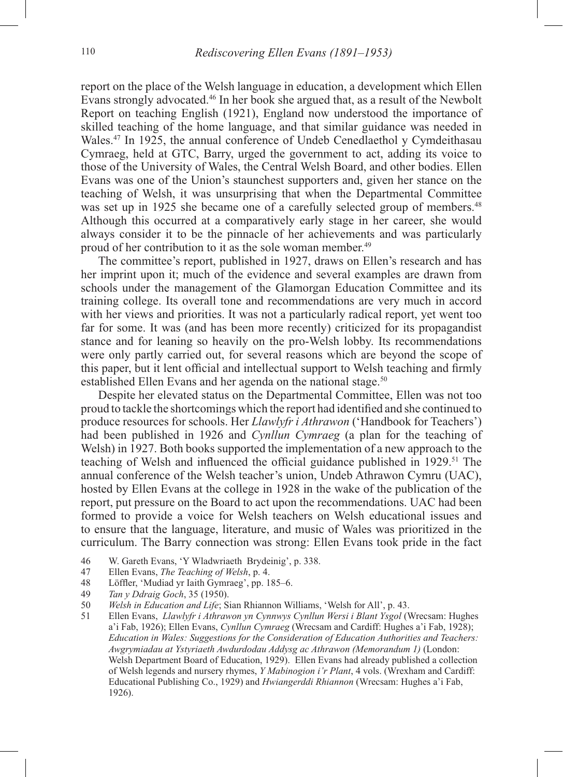report on the place of the Welsh language in education, a development which Ellen Evans strongly advocated.46 In her book she argued that, as a result of the Newbolt Report on teaching English (1921), England now understood the importance of skilled teaching of the home language, and that similar guidance was needed in Wales.<sup>47</sup> In 1925, the annual conference of Undeb Cenedlaethol y Cymdeithasau Cymraeg, held at GTC, Barry, urged the government to act, adding its voice to those of the University of Wales, the Central Welsh Board, and other bodies. Ellen Evans was one of the Union's staunchest supporters and, given her stance on the teaching of Welsh, it was unsurprising that when the Departmental Committee was set up in 1925 she became one of a carefully selected group of members.<sup>48</sup> Although this occurred at a comparatively early stage in her career, she would always consider it to be the pinnacle of her achievements and was particularly proud of her contribution to it as the sole woman member.<sup>49</sup>

The committee's report, published in 1927, draws on Ellen's research and has her imprint upon it; much of the evidence and several examples are drawn from schools under the management of the Glamorgan Education Committee and its training college. Its overall tone and recommendations are very much in accord with her views and priorities. It was not a particularly radical report, yet went too far for some. It was (and has been more recently) criticized for its propagandist stance and for leaning so heavily on the pro-Welsh lobby. Its recommendations were only partly carried out, for several reasons which are beyond the scope of this paper, but it lent official and intellectual support to Welsh teaching and firmly established Ellen Evans and her agenda on the national stage.<sup>50</sup>

Despite her elevated status on the Departmental Committee, Ellen was not too proud to tackle the shortcomings which the report had identified and she continued to produce resources for schools. Her *Llawlyfr i Athrawon* ('Handbook for Teachers') had been published in 1926 and *Cynllun Cymraeg* (a plan for the teaching of Welsh) in 1927. Both books supported the implementation of a new approach to the teaching of Welsh and influenced the official guidance published in 1929.<sup>51</sup> The annual conference of the Welsh teacher's union, Undeb Athrawon Cymru (UAC), hosted by Ellen Evans at the college in 1928 in the wake of the publication of the report, put pressure on the Board to act upon the recommendations. UAC had been formed to provide a voice for Welsh teachers on Welsh educational issues and to ensure that the language, literature, and music of Wales was prioritized in the curriculum. The Barry connection was strong: Ellen Evans took pride in the fact

- 46 W. Gareth Evans, 'Y Wladwriaeth Brydeinig', p. 338.
- 47 Ellen Evans, *The Teaching of Welsh*, p. 4.
- 48 Löffler, 'Mudiad yr Iaith Gymraeg', pp. 185–6.<br>49 Tan y Ddraig Goch. 35 (1950).
- 49 *Tan y Ddraig Goch*, 35 (1950).
- 50 *Welsh in Education and Life*; Sian Rhiannon Williams, 'Welsh for All', p. 43.
- 51 Ellen Evans, *Llawlyfr i Athrawon yn Cynnwys Cynllun Wersi i Blant Ysgol* (Wrecsam: Hughes a'i Fab, 1926); Ellen Evans, *Cynllun Cymraeg* (Wrecsam and Cardiff: Hughes a'i Fab, 1928); *Education in Wales: Suggestions for the Consideration of Education Authorities and Teachers: Awgrymiadau at Ystyriaeth Awdurdodau Addysg ac Athrawon (Memorandum 1)* (London: Welsh Department Board of Education, 1929). Ellen Evans had already published a collection of Welsh legends and nursery rhymes, *Y Mabinogion i'r Plant*, 4 vols. (Wrexham and Cardiff: Educational Publishing Co., 1929) and *Hwiangerddi Rhiannon* (Wrecsam: Hughes a'i Fab, 1926).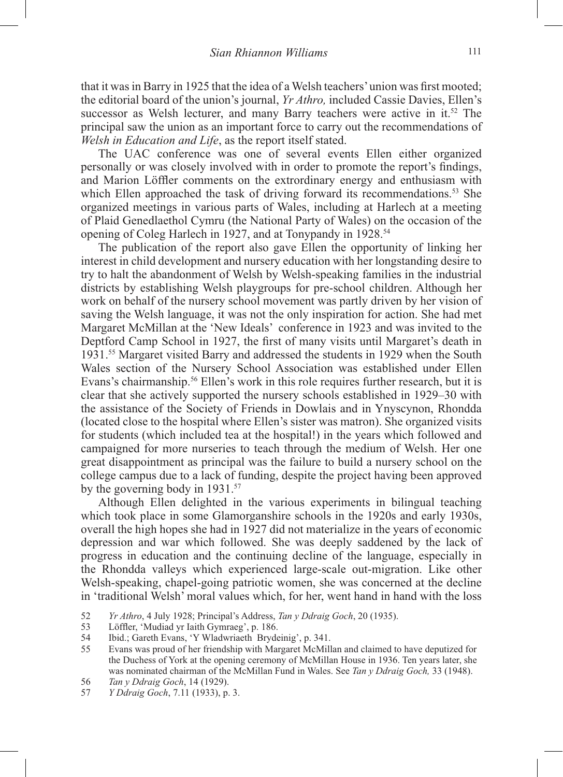that it was in Barry in 1925 that the idea of a Welsh teachers' union was first mooted; the editorial board of the union's journal, *Yr Athro,* included Cassie Davies, Ellen's successor as Welsh lecturer, and many Barry teachers were active in it.<sup>52</sup> The principal saw the union as an important force to carry out the recommendations of *Welsh in Education and Life*, as the report itself stated.

The UAC conference was one of several events Ellen either organized personally or was closely involved with in order to promote the report's findings, and Marion Löffler comments on the extrordinary energy and enthusiasm with which Ellen approached the task of driving forward its recommendations.<sup>53</sup> She organized meetings in various parts of Wales, including at Harlech at a meeting of Plaid Genedlaethol Cymru (the National Party of Wales) on the occasion of the opening of Coleg Harlech in 1927, and at Tonypandy in 1928.<sup>54</sup>

The publication of the report also gave Ellen the opportunity of linking her interest in child development and nursery education with her longstanding desire to try to halt the abandonment of Welsh by Welsh-speaking families in the industrial districts by establishing Welsh playgroups for pre-school children. Although her work on behalf of the nursery school movement was partly driven by her vision of saving the Welsh language, it was not the only inspiration for action. She had met Margaret McMillan at the 'New Ideals' conference in 1923 and was invited to the Deptford Camp School in 1927, the first of many visits until Margaret's death in 1931.55 Margaret visited Barry and addressed the students in 1929 when the South Wales section of the Nursery School Association was established under Ellen Evans's chairmanship.56 Ellen's work in this role requires further research, but it is clear that she actively supported the nursery schools established in 1929–30 with the assistance of the Society of Friends in Dowlais and in Ynyscynon, Rhondda (located close to the hospital where Ellen's sister was matron). She organized visits for students (which included tea at the hospital!) in the years which followed and campaigned for more nurseries to teach through the medium of Welsh. Her one great disappointment as principal was the failure to build a nursery school on the college campus due to a lack of funding, despite the project having been approved by the governing body in 1931.<sup>57</sup>

Although Ellen delighted in the various experiments in bilingual teaching which took place in some Glamorganshire schools in the 1920s and early 1930s, overall the high hopes she had in 1927 did not materialize in the years of economic depression and war which followed. She was deeply saddened by the lack of progress in education and the continuing decline of the language, especially in the Rhondda valleys which experienced large-scale out-migration. Like other Welsh-speaking, chapel-going patriotic women, she was concerned at the decline in 'traditional Welsh' moral values which, for her, went hand in hand with the loss

- 52 *Yr Athro*, 4 July 1928; Principal's Address, *Tan y Ddraig Goch*, 20 (1935).
- 53 Löffler, 'Mudiad yr Iaith Gymraeg', p. 186.
- Ibid.; Gareth Evans, 'Y Wladwriaeth Brydeinig', p. 341.
- 55 Evans was proud of her friendship with Margaret McMillan and claimed to have deputized for the Duchess of York at the opening ceremony of McMillan House in 1936. Ten years later, she was nominated chairman of the McMillan Fund in Wales. See *Tan y Ddraig Goch,* 33 (1948).
- 56 *Tan y Ddraig Goch*, 14 (1929).
- 57 *Y Ddraig Goch*, 7.11 (1933), p. 3.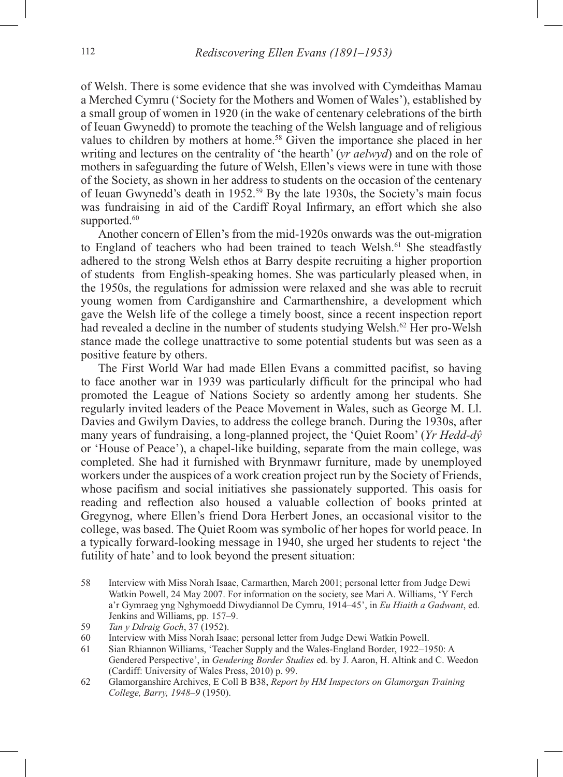of Welsh. There is some evidence that she was involved with Cymdeithas Mamau a Merched Cymru ('Society for the Mothers and Women of Wales'), established by a small group of women in 1920 (in the wake of centenary celebrations of the birth of Ieuan Gwynedd) to promote the teaching of the Welsh language and of religious values to children by mothers at home.<sup>58</sup> Given the importance she placed in her writing and lectures on the centrality of 'the hearth' (*yr aelwyd*) and on the role of mothers in safeguarding the future of Welsh, Ellen's views were in tune with those of the Society, as shown in her address to students on the occasion of the centenary of Ieuan Gwynedd's death in 1952.59 By the late 1930s, the Society's main focus was fundraising in aid of the Cardiff Royal Infirmary, an effort which she also supported.<sup>60</sup>

Another concern of Ellen's from the mid-1920s onwards was the out-migration to England of teachers who had been trained to teach Welsh.<sup>61</sup> She steadfastly adhered to the strong Welsh ethos at Barry despite recruiting a higher proportion of students from English-speaking homes. She was particularly pleased when, in the 1950s, the regulations for admission were relaxed and she was able to recruit young women from Cardiganshire and Carmarthenshire, a development which gave the Welsh life of the college a timely boost, since a recent inspection report had revealed a decline in the number of students studying Welsh.<sup>62</sup> Her pro-Welsh stance made the college unattractive to some potential students but was seen as a positive feature by others.

The First World War had made Ellen Evans a committed pacifist, so having to face another war in 1939 was particularly difficult for the principal who had promoted the League of Nations Society so ardently among her students. She regularly invited leaders of the Peace Movement in Wales, such as George M. Ll. Davies and Gwilym Davies, to address the college branch. During the 1930s, after many years of fundraising, a long-planned project, the 'Quiet Room' (*Yr Hedd-dŷ* or 'House of Peace'), a chapel-like building, separate from the main college, was completed. She had it furnished with Brynmawr furniture, made by unemployed workers under the auspices of a work creation project run by the Society of Friends, whose pacifism and social initiatives she passionately supported. This oasis for reading and reflection also housed a valuable collection of books printed at Gregynog, where Ellen's friend Dora Herbert Jones, an occasional visitor to the college, was based. The Quiet Room was symbolic of her hopes for world peace. In a typically forward-looking message in 1940, she urged her students to reject 'the futility of hate' and to look beyond the present situation:

58 Interview with Miss Norah Isaac, Carmarthen, March 2001; personal letter from Judge Dewi Watkin Powell, 24 May 2007. For information on the society, see Mari A. Williams, 'Y Ferch a'r Gymraeg yng Nghymoedd Diwydiannol De Cymru, 1914–45', in *Eu Hiaith a Gadwant*, ed. Jenkins and Williams, pp. 157–9.

- 60 Interview with Miss Norah Isaac; personal letter from Judge Dewi Watkin Powell.
- 61 Sian Rhiannon Williams, 'Teacher Supply and the Wales-England Border, 1922–1950: A Gendered Perspective', in *Gendering Border Studies* ed. by J. Aaron, H. Altink and C. Weedon (Cardiff: University of Wales Press, 2010) p. 99.
- 62 Glamorganshire Archives, E Coll B B38, *Report by HM Inspectors on Glamorgan Training College, Barry, 1948–9* (1950).

<sup>59</sup> *Tan y Ddraig Goch*, 37 (1952).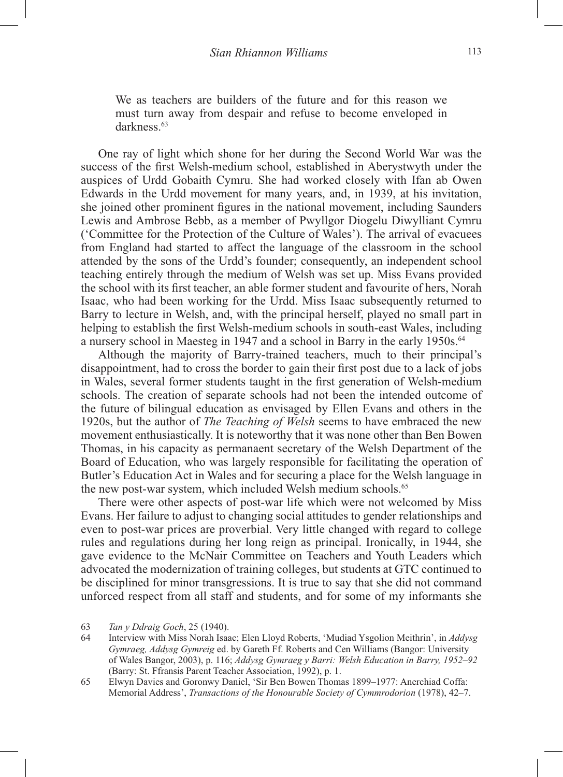We as teachers are builders of the future and for this reason we must turn away from despair and refuse to become enveloped in darkness.<sup>63</sup>

One ray of light which shone for her during the Second World War was the success of the first Welsh-medium school, established in Aberystwyth under the auspices of Urdd Gobaith Cymru. She had worked closely with Ifan ab Owen Edwards in the Urdd movement for many years, and, in 1939, at his invitation, she joined other prominent figures in the national movement, including Saunders Lewis and Ambrose Bebb, as a member of Pwyllgor Diogelu Diwylliant Cymru ('Committee for the Protection of the Culture of Wales'). The arrival of evacuees from England had started to affect the language of the classroom in the school attended by the sons of the Urdd's founder; consequently, an independent school teaching entirely through the medium of Welsh was set up. Miss Evans provided the school with its first teacher, an able former student and favourite of hers, Norah Isaac, who had been working for the Urdd. Miss Isaac subsequently returned to Barry to lecture in Welsh, and, with the principal herself, played no small part in helping to establish the first Welsh-medium schools in south-east Wales, including a nursery school in Maesteg in 1947 and a school in Barry in the early 1950s.<sup>64</sup>

Although the majority of Barry-trained teachers, much to their principal's disappointment, had to cross the border to gain their first post due to a lack of jobs in Wales, several former students taught in the first generation of Welsh-medium schools. The creation of separate schools had not been the intended outcome of the future of bilingual education as envisaged by Ellen Evans and others in the 1920s, but the author of *The Teaching of Welsh* seems to have embraced the new movement enthusiastically. It is noteworthy that it was none other than Ben Bowen Thomas, in his capacity as permanaent secretary of the Welsh Department of the Board of Education, who was largely responsible for facilitating the operation of Butler's Education Act in Wales and for securing a place for the Welsh language in the new post-war system, which included Welsh medium schools.<sup>65</sup>

There were other aspects of post-war life which were not welcomed by Miss Evans. Her failure to adjust to changing social attitudes to gender relationships and even to post-war prices are proverbial. Very little changed with regard to college rules and regulations during her long reign as principal. Ironically, in 1944, she gave evidence to the McNair Committee on Teachers and Youth Leaders which advocated the modernization of training colleges, but students at GTC continued to be disciplined for minor transgressions. It is true to say that she did not command unforced respect from all staff and students, and for some of my informants she

64 Interview with Miss Norah Isaac; Elen Lloyd Roberts, 'Mudiad Ysgolion Meithrin', in *Addysg Gymraeg, Addysg Gymreig* ed. by Gareth Ff. Roberts and Cen Williams (Bangor: University of Wales Bangor, 2003), p. 116; *Addysg Gymraeg y Barri: Welsh Education in Barry, 1952–92* (Barry: St. Ffransis Parent Teacher Association, 1992), p. 1.

65 Elwyn Davies and Goronwy Daniel, 'Sir Ben Bowen Thomas 1899–1977: Anerchiad Coffa: Memorial Address', *Transactions of the Honourable Society of Cymmrodorion* (1978), 42–7.

<sup>63</sup> *Tan y Ddraig Goch*, 25 (1940).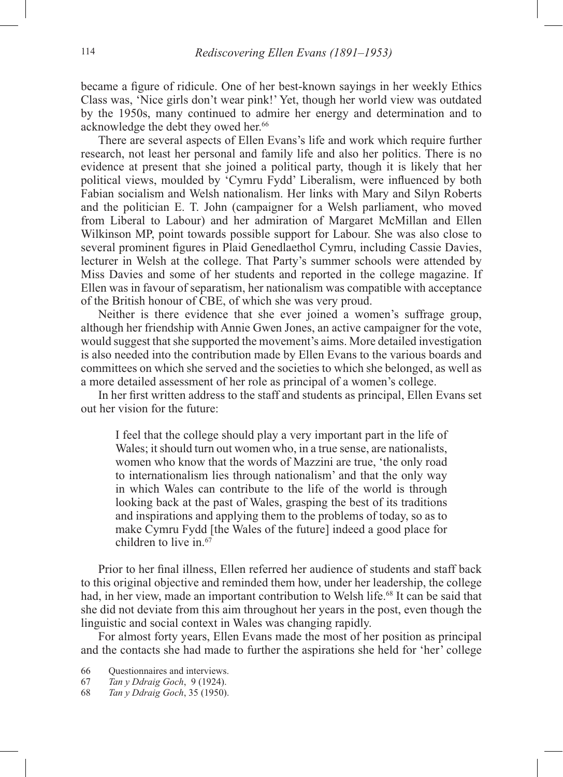became a figure of ridicule. One of her best-known sayings in her weekly Ethics Class was, 'Nice girls don't wear pink!' Yet, though her world view was outdated by the 1950s, many continued to admire her energy and determination and to acknowledge the debt they owed her.<sup>66</sup>

There are several aspects of Ellen Evans's life and work which require further research, not least her personal and family life and also her politics. There is no evidence at present that she joined a political party, though it is likely that her political views, moulded by 'Cymru Fydd' Liberalism, were influenced by both Fabian socialism and Welsh nationalism. Her links with Mary and Silyn Roberts and the politician E. T. John (campaigner for a Welsh parliament, who moved from Liberal to Labour) and her admiration of Margaret McMillan and Ellen Wilkinson MP, point towards possible support for Labour. She was also close to several prominent figures in Plaid Genedlaethol Cymru, including Cassie Davies, lecturer in Welsh at the college. That Party's summer schools were attended by Miss Davies and some of her students and reported in the college magazine. If Ellen was in favour of separatism, her nationalism was compatible with acceptance of the British honour of CBE, of which she was very proud.

Neither is there evidence that she ever joined a women's suffrage group, although her friendship with Annie Gwen Jones, an active campaigner for the vote, would suggest that she supported the movement's aims. More detailed investigation is also needed into the contribution made by Ellen Evans to the various boards and committees on which she served and the societies to which she belonged, as well as a more detailed assessment of her role as principal of a women's college.

In her first written address to the staff and students as principal, Ellen Evans set out her vision for the future:

I feel that the college should play a very important part in the life of Wales; it should turn out women who, in a true sense, are nationalists, women who know that the words of Mazzini are true, 'the only road to internationalism lies through nationalism' and that the only way in which Wales can contribute to the life of the world is through looking back at the past of Wales, grasping the best of its traditions and inspirations and applying them to the problems of today, so as to make Cymru Fydd [the Wales of the future] indeed a good place for children to live in.67

Prior to her final illness, Ellen referred her audience of students and staff back to this original objective and reminded them how, under her leadership, the college had, in her view, made an important contribution to Welsh life.<sup>68</sup> It can be said that she did not deviate from this aim throughout her years in the post, even though the linguistic and social context in Wales was changing rapidly.

For almost forty years, Ellen Evans made the most of her position as principal and the contacts she had made to further the aspirations she held for 'her' college

66 Questionnaires and interviews.

67 *Tan y Ddraig Goch*, 9 (1924).

68 *Tan y Ddraig Goch*, 35 (1950).